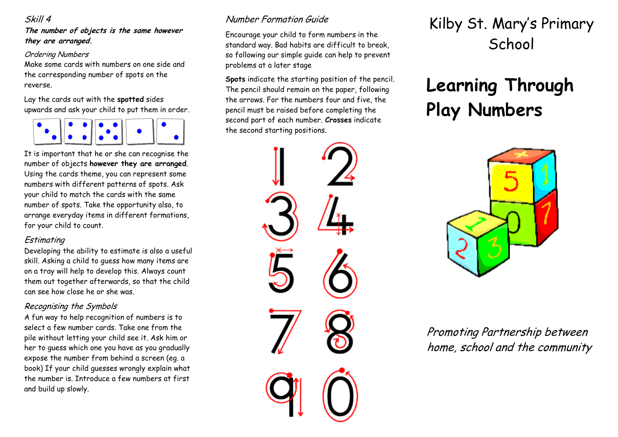#### Skill 4

**The number of objects is the same however they are arranged.**

#### Ordering Numbers

Make some cards with numbers on one side and the corresponding number of spots on the reverse.

Lay the cards out with the **spotted** sides upwards and ask your child to put them in order.



It is important that he or she can recognise the number of objects **however they are arranged**. Using the cards theme, you can represent some numbers with different patterns of spots. Ask your child to match the cards with the same number of spots. Take the opportunity also, to arrange everyday items in different formations, for your child to count.

#### Estimating

Developing the ability to estimate is also a useful skill. Asking a child to guess how many items are on a tray will help to develop this. Always count them out together afterwards, so that the child can see how close he or she was.

# Recognising the Symbols

A fun way to help recognition of numbers is to select a few number cards. Take one from the pile without letting your child see it. Ask him or her to guess which one you have as you gradually expose the number from behind a screen (eg. a book) If your child guesses wrongly explain what the number is. Introduce a few numbers at first and build up slowly.

# Number Formation Guide

Encourage your child to form numbers in the standard way. Bad habits are difficult to break, so following our simple guide can help to prevent problems at a later stage

**Spots** indicate the starting position of the pencil. The pencil should remain on the paper, following the arrows. For the numbers four and five, the pencil must be raised before completing the second part of each number. **Crosses** indicate the second starting positions.



# Kilby St. Mary's Primary **School**

# **Learning Through Play Numbers**



Promoting Partnership between home, school and the community